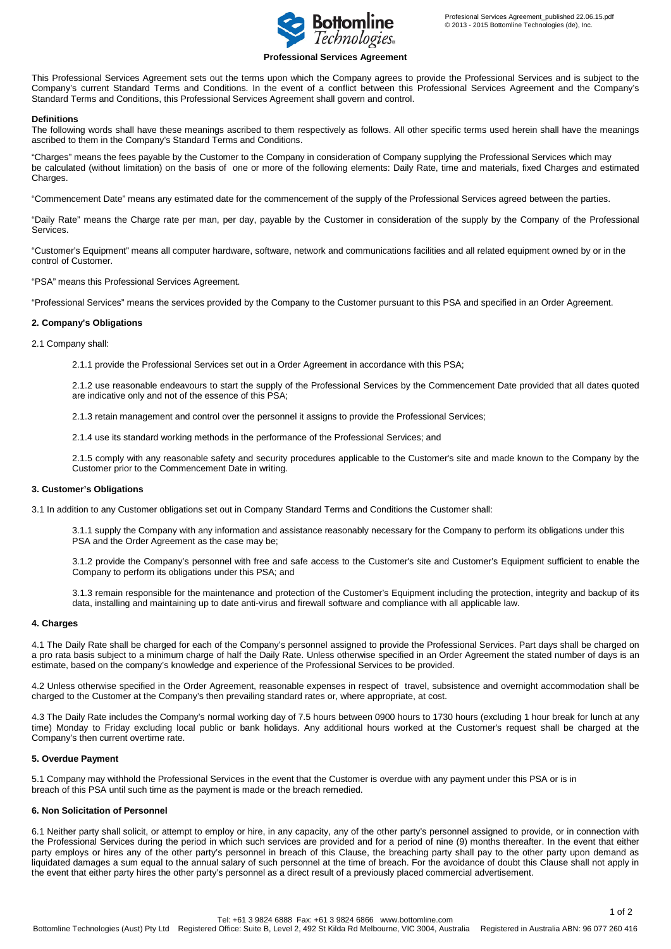

## **Professional Services Agreement**

This Professional Services Agreement sets out the terms upon which the Company agrees to provide the Professional Services and is subject to the Company's current Standard Terms and Conditions. In the event of a conflict between this Professional Services Agreement and the Company's Standard Terms and Conditions, this Professional Services Agreement shall govern and control.

### **Definitions**

The following words shall have these meanings ascribed to them respectively as follows. All other specific terms used herein shall have the meanings ascribed to them in the Company's Standard Terms and Conditions.

"Charges" means the fees payable by the Customer to the Company in consideration of Company supplying the Professional Services which may be calculated (without limitation) on the basis of one or more of the following elements: Daily Rate, time and materials, fixed Charges and estimated Charges.

"Commencement Date" means any estimated date for the commencement of the supply of the Professional Services agreed between the parties.

"Daily Rate" means the Charge rate per man, per day, payable by the Customer in consideration of the supply by the Company of the Professional Services.

"Customer's Equipment" means all computer hardware, software, network and communications facilities and all related equipment owned by or in the control of Customer.

"PSA" means this Professional Services Agreement.

"Professional Services" means the services provided by the Company to the Customer pursuant to this PSA and specified in an Order Agreement.

## **2. Company's Obligations**

2.1 Company shall:

2.1.1 provide the Professional Services set out in a Order Agreement in accordance with this PSA;

2.1.2 use reasonable endeavours to start the supply of the Professional Services by the Commencement Date provided that all dates quoted are indicative only and not of the essence of this PSA;

2.1.3 retain management and control over the personnel it assigns to provide the Professional Services;

2.1.4 use its standard working methods in the performance of the Professional Services; and

2.1.5 comply with any reasonable safety and security procedures applicable to the Customer's site and made known to the Company by the Customer prior to the Commencement Date in writing.

#### **3. Customer's Obligations**

3.1 In addition to any Customer obligations set out in Company Standard Terms and Conditions the Customer shall:

3.1.1 supply the Company with any information and assistance reasonably necessary for the Company to perform its obligations under this PSA and the Order Agreement as the case may be;

3.1.2 provide the Company's personnel with free and safe access to the Customer's site and Customer's Equipment sufficient to enable the Company to perform its obligations under this PSA; and

3.1.3 remain responsible for the maintenance and protection of the Customer's Equipment including the protection, integrity and backup of its data, installing and maintaining up to date anti-virus and firewall software and compliance with all applicable law.

# **4. Charges**

4.1 The Daily Rate shall be charged for each of the Company's personnel assigned to provide the Professional Services. Part days shall be charged on a pro rata basis subject to a minimum charge of half the Daily Rate. Unless otherwise specified in an Order Agreement the stated number of days is an estimate, based on the company's knowledge and experience of the Professional Services to be provided.

4.2 Unless otherwise specified in the Order Agreement, reasonable expenses in respect of travel, subsistence and overnight accommodation shall be charged to the Customer at the Company's then prevailing standard rates or, where appropriate, at cost.

4.3 The Daily Rate includes the Company's normal working day of 7.5 hours between 0900 hours to 1730 hours (excluding 1 hour break for lunch at any time) Monday to Friday excluding local public or bank holidays. Any additional hours worked at the Customer's request shall be charged at the Company's then current overtime rate.

## **5. Overdue Payment**

5.1 Company may withhold the Professional Services in the event that the Customer is overdue with any payment under this PSA or is in breach of this PSA until such time as the payment is made or the breach remedied.

# **6. Non Solicitation of Personnel**

6.1 Neither party shall solicit, or attempt to employ or hire, in any capacity, any of the other party's personnel assigned to provide, or in connection with the Professional Services during the period in which such services are provided and for a period of nine (9) months thereafter. In the event that either party employs or hires any of the other party's personnel in breach of this Clause, the breaching party shall pay to the other party upon demand as liquidated damages a sum equal to the annual salary of such personnel at the time of breach. For the avoidance of doubt this Clause shall not apply in the event that either party hires the other party's personnel as a direct result of a previously placed commercial advertisement.